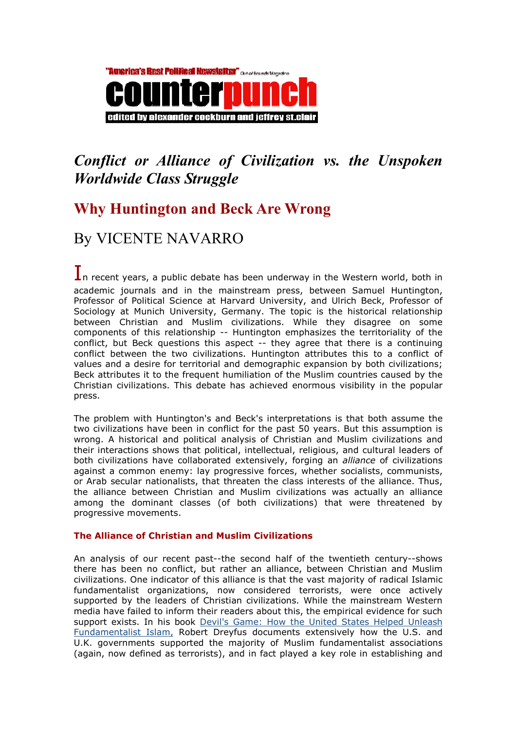

# Conflict or Alliance of Civilization vs. the Unspoken Worldwide Class Struggle

## Why Huntington and Beck Are Wrong

## By VICENTE NAVARRO

 $\mathbf 1$ n recent years, a public debate has been underway in the Western world, both in academic journals and in the mainstream press, between Samuel Huntington, Professor of Political Science at Harvard University, and Ulrich Beck, Professor of Sociology at Munich University, Germany. The topic is the historical relationship between Christian and Muslim civilizations. While they disagree on some components of this relationship -- Huntington emphasizes the territoriality of the conflict, but Beck questions this aspect -- they agree that there is a continuing conflict between the two civilizations. Huntington attributes this to a conflict of values and a desire for territorial and demographic expansion by both civilizations; Beck attributes it to the frequent humiliation of the Muslim countries caused by the Christian civilizations. This debate has achieved enormous visibility in the popular press.

The problem with Huntington's and Beck's interpretations is that both assume the two civilizations have been in conflict for the past 50 years. But this assumption is wrong. A historical and political analysis of Christian and Muslim civilizations and their interactions shows that political, intellectual, religious, and cultural leaders of both civilizations have collaborated extensively, forging an *alliance* of civilizations against a common enemy: lay progressive forces, whether socialists, communists, or Arab secular nationalists, that threaten the class interests of the alliance. Thus, the alliance between Christian and Muslim civilizations was actually an alliance among the dominant classes (of both civilizations) that were threatened by progressive movements.

### The Alliance of Christian and Muslim Civilizations

An analysis of our recent past--the second half of the twentieth century--shows there has been no conflict, but rather an alliance, between Christian and Muslim civilizations. One indicator of this alliance is that the vast majority of radical Islamic fundamentalist organizations, now considered terrorists, were once actively supported by the leaders of Christian civilizations. While the mainstream Western media have failed to inform their readers about this, the empirical evidence for such support exists. In his book Devil's Game: How the United States Helped Unleash Fundamentalist Islam, Robert Dreyfus documents extensively how the U.S. and U.K. governments supported the majority of Muslim fundamentalist associations (again, now defined as terrorists), and in fact played a key role in establishing and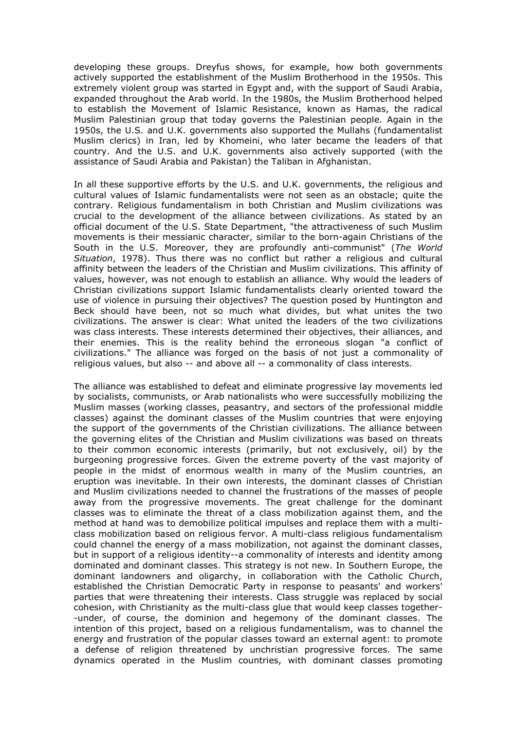developing these groups. Dreyfus shows, for example, how both governments actively supported the establishment of the Muslim Brotherhood in the 1950s. This extremely violent group was started in Egypt and, with the support of Saudi Arabia, expanded throughout the Arab world. In the 1980s, the Muslim Brotherhood helped to establish the Movement of Islamic Resistance, known as Hamas, the radical Muslim Palestinian group that today governs the Palestinian people. Again in the 1950s, the U.S. and U.K. governments also supported the Mullahs (fundamentalist Muslim clerics) in Iran, led by Khomeini, who later became the leaders of that country. And the U.S. and U.K. governments also actively supported (with the assistance of Saudi Arabia and Pakistan) the Taliban in Afghanistan.

In all these supportive efforts by the U.S. and U.K. governments, the religious and cultural values of Islamic fundamentalists were not seen as an obstacle; quite the contrary. Religious fundamentalism in both Christian and Muslim civilizations was crucial to the development of the alliance between civilizations. As stated by an official document of the U.S. State Department, "the attractiveness of such Muslim movements is their messianic character, similar to the born-again Christians of the South in the U.S. Moreover, they are profoundly anti-communist" (The World Situation, 1978). Thus there was no conflict but rather a religious and cultural affinity between the leaders of the Christian and Muslim civilizations. This affinity of values, however, was not enough to establish an alliance. Why would the leaders of Christian civilizations support Islamic fundamentalists clearly oriented toward the use of violence in pursuing their objectives? The question posed by Huntington and Beck should have been, not so much what divides, but what unites the two civilizations. The answer is clear: What united the leaders of the two civilizations was class interests. These interests determined their objectives, their alliances, and their enemies. This is the reality behind the erroneous slogan "a conflict of civilizations." The alliance was forged on the basis of not just a commonality of religious values, but also -- and above all -- a commonality of class interests.

The alliance was established to defeat and eliminate progressive lay movements led by socialists, communists, or Arab nationalists who were successfully mobilizing the Muslim masses (working classes, peasantry, and sectors of the professional middle classes) against the dominant classes of the Muslim countries that were enjoying the support of the governments of the Christian civilizations. The alliance between the governing elites of the Christian and Muslim civilizations was based on threats to their common economic interests (primarily, but not exclusively, oil) by the burgeoning progressive forces. Given the extreme poverty of the vast majority of people in the midst of enormous wealth in many of the Muslim countries, an eruption was inevitable. In their own interests, the dominant classes of Christian and Muslim civilizations needed to channel the frustrations of the masses of people away from the progressive movements. The great challenge for the dominant classes was to eliminate the threat of a class mobilization against them, and the method at hand was to demobilize political impulses and replace them with a multiclass mobilization based on religious fervor. A multi-class religious fundamentalism could channel the energy of a mass mobilization, not against the dominant classes, but in support of a religious identity--a commonality of interests and identity among dominated and dominant classes. This strategy is not new. In Southern Europe, the dominant landowners and oligarchy, in collaboration with the Catholic Church, established the Christian Democratic Party in response to peasants' and workers' parties that were threatening their interests. Class struggle was replaced by social cohesion, with Christianity as the multi-class glue that would keep classes together- -under, of course, the dominion and hegemony of the dominant classes. The intention of this project, based on a religious fundamentalism, was to channel the energy and frustration of the popular classes toward an external agent: to promote a defense of religion threatened by unchristian progressive forces. The same dynamics operated in the Muslim countries, with dominant classes promoting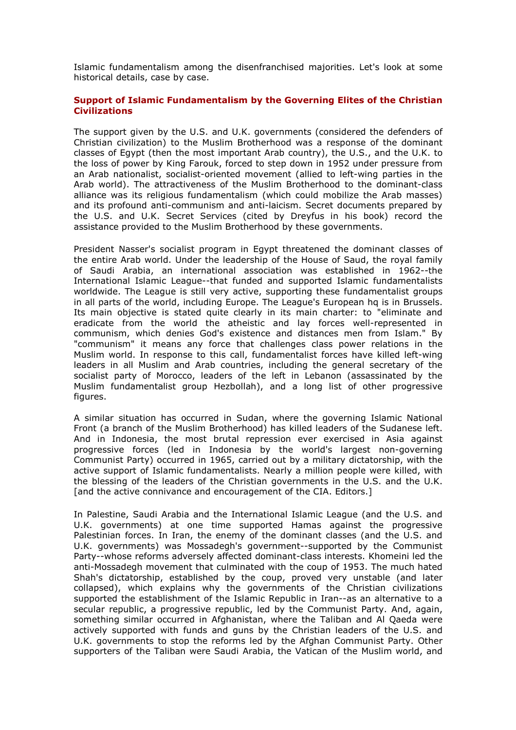Islamic fundamentalism among the disenfranchised majorities. Let's look at some historical details, case by case.

### Support of Islamic Fundamentalism by the Governing Elites of the Christian **Civilizations**

The support given by the U.S. and U.K. governments (considered the defenders of Christian civilization) to the Muslim Brotherhood was a response of the dominant classes of Egypt (then the most important Arab country), the U.S., and the U.K. to the loss of power by King Farouk, forced to step down in 1952 under pressure from an Arab nationalist, socialist-oriented movement (allied to left-wing parties in the Arab world). The attractiveness of the Muslim Brotherhood to the dominant-class alliance was its religious fundamentalism (which could mobilize the Arab masses) and its profound anti-communism and anti-laicism. Secret documents prepared by the U.S. and U.K. Secret Services (cited by Dreyfus in his book) record the assistance provided to the Muslim Brotherhood by these governments.

President Nasser's socialist program in Egypt threatened the dominant classes of the entire Arab world. Under the leadership of the House of Saud, the royal family of Saudi Arabia, an international association was established in 1962--the International Islamic League--that funded and supported Islamic fundamentalists worldwide. The League is still very active, supporting these fundamentalist groups in all parts of the world, including Europe. The League's European hq is in Brussels. Its main objective is stated quite clearly in its main charter: to "eliminate and eradicate from the world the atheistic and lay forces well-represented in communism, which denies God's existence and distances men from Islam." By "communism" it means any force that challenges class power relations in the Muslim world. In response to this call, fundamentalist forces have killed left-wing leaders in all Muslim and Arab countries, including the general secretary of the socialist party of Morocco, leaders of the left in Lebanon (assassinated by the Muslim fundamentalist group Hezbollah), and a long list of other progressive figures.

A similar situation has occurred in Sudan, where the governing Islamic National Front (a branch of the Muslim Brotherhood) has killed leaders of the Sudanese left. And in Indonesia, the most brutal repression ever exercised in Asia against progressive forces (led in Indonesia by the world's largest non-governing Communist Party) occurred in 1965, carried out by a military dictatorship, with the active support of Islamic fundamentalists. Nearly a million people were killed, with the blessing of the leaders of the Christian governments in the U.S. and the U.K. [and the active connivance and encouragement of the CIA. Editors.]

In Palestine, Saudi Arabia and the International Islamic League (and the U.S. and U.K. governments) at one time supported Hamas against the progressive Palestinian forces. In Iran, the enemy of the dominant classes (and the U.S. and U.K. governments) was Mossadegh's government--supported by the Communist Party--whose reforms adversely affected dominant-class interests. Khomeini led the anti-Mossadegh movement that culminated with the coup of 1953. The much hated Shah's dictatorship, established by the coup, proved very unstable (and later collapsed), which explains why the governments of the Christian civilizations supported the establishment of the Islamic Republic in Iran--as an alternative to a secular republic, a progressive republic, led by the Communist Party. And, again, something similar occurred in Afghanistan, where the Taliban and Al Qaeda were actively supported with funds and guns by the Christian leaders of the U.S. and U.K. governments to stop the reforms led by the Afghan Communist Party. Other supporters of the Taliban were Saudi Arabia, the Vatican of the Muslim world, and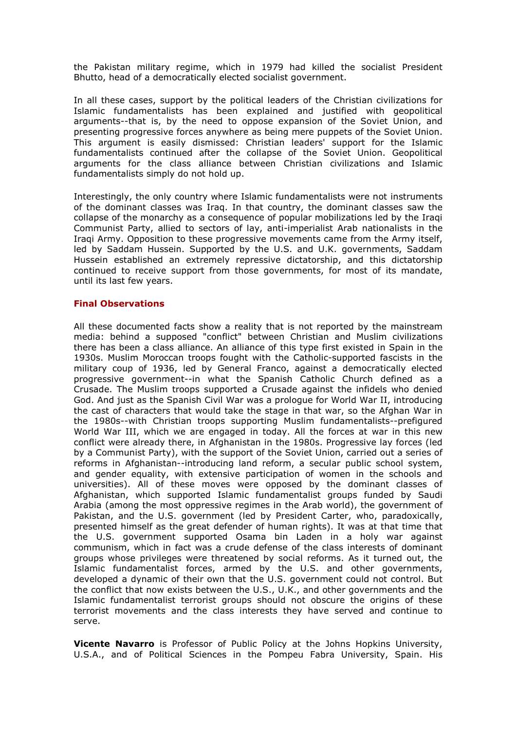the Pakistan military regime, which in 1979 had killed the socialist President Bhutto, head of a democratically elected socialist government.

In all these cases, support by the political leaders of the Christian civilizations for Islamic fundamentalists has been explained and justified with geopolitical arguments--that is, by the need to oppose expansion of the Soviet Union, and presenting progressive forces anywhere as being mere puppets of the Soviet Union. This argument is easily dismissed: Christian leaders' support for the Islamic fundamentalists continued after the collapse of the Soviet Union. Geopolitical arguments for the class alliance between Christian civilizations and Islamic fundamentalists simply do not hold up.

Interestingly, the only country where Islamic fundamentalists were not instruments of the dominant classes was Iraq. In that country, the dominant classes saw the collapse of the monarchy as a consequence of popular mobilizations led by the Iraqi Communist Party, allied to sectors of lay, anti-imperialist Arab nationalists in the Iraqi Army. Opposition to these progressive movements came from the Army itself, led by Saddam Hussein. Supported by the U.S. and U.K. governments, Saddam Hussein established an extremely repressive dictatorship, and this dictatorship continued to receive support from those governments, for most of its mandate, until its last few years.

### Final Observations

All these documented facts show a reality that is not reported by the mainstream media: behind a supposed "conflict" between Christian and Muslim civilizations there has been a class alliance. An alliance of this type first existed in Spain in the 1930s. Muslim Moroccan troops fought with the Catholic-supported fascists in the military coup of 1936, led by General Franco, against a democratically elected progressive government--in what the Spanish Catholic Church defined as a Crusade. The Muslim troops supported a Crusade against the infidels who denied God. And just as the Spanish Civil War was a prologue for World War II, introducing the cast of characters that would take the stage in that war, so the Afghan War in the 1980s--with Christian troops supporting Muslim fundamentalists--prefigured World War III, which we are engaged in today. All the forces at war in this new conflict were already there, in Afghanistan in the 1980s. Progressive lay forces (led by a Communist Party), with the support of the Soviet Union, carried out a series of reforms in Afghanistan--introducing land reform, a secular public school system, and gender equality, with extensive participation of women in the schools and universities). All of these moves were opposed by the dominant classes of Afghanistan, which supported Islamic fundamentalist groups funded by Saudi Arabia (among the most oppressive regimes in the Arab world), the government of Pakistan, and the U.S. government (led by President Carter, who, paradoxically, presented himself as the great defender of human rights). It was at that time that the U.S. government supported Osama bin Laden in a holy war against communism, which in fact was a crude defense of the class interests of dominant groups whose privileges were threatened by social reforms. As it turned out, the Islamic fundamentalist forces, armed by the U.S. and other governments, developed a dynamic of their own that the U.S. government could not control. But the conflict that now exists between the U.S., U.K., and other governments and the Islamic fundamentalist terrorist groups should not obscure the origins of these terrorist movements and the class interests they have served and continue to serve.

Vicente Navarro is Professor of Public Policy at the Johns Hopkins University, U.S.A., and of Political Sciences in the Pompeu Fabra University, Spain. His